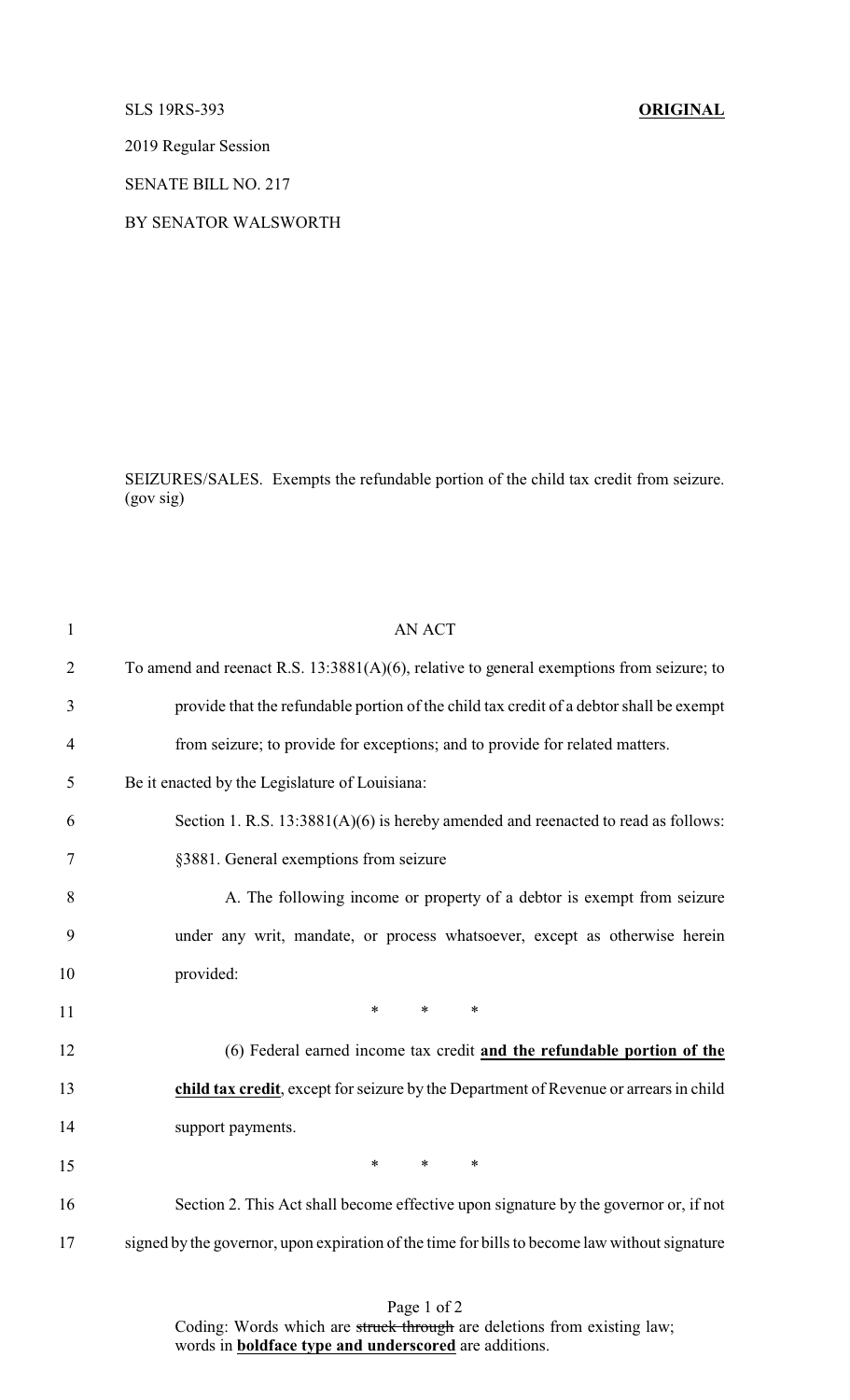SLS 19RS-393 **ORIGINAL**

2019 Regular Session

SENATE BILL NO. 217

BY SENATOR WALSWORTH

SEIZURES/SALES. Exempts the refundable portion of the child tax credit from seizure. (gov sig)

| $\mathbf{1}$   | <b>AN ACT</b>                                                                                 |
|----------------|-----------------------------------------------------------------------------------------------|
| $\overline{2}$ | To amend and reenact R.S. $13:3881(A)(6)$ , relative to general exemptions from seizure; to   |
| 3              | provide that the refundable portion of the child tax credit of a debtor shall be exempt       |
| 4              | from seizure; to provide for exceptions; and to provide for related matters.                  |
| 5              | Be it enacted by the Legislature of Louisiana:                                                |
| 6              | Section 1. R.S. $13:3881(A)(6)$ is hereby amended and reenacted to read as follows:           |
| 7              | §3881. General exemptions from seizure                                                        |
| 8              | A. The following income or property of a debtor is exempt from seizure                        |
| 9              | under any writ, mandate, or process whatsoever, except as otherwise herein                    |
| 10             | provided:                                                                                     |
| 11             | $\ast$<br>$\ast$<br>$\ast$                                                                    |
| 12             | (6) Federal earned income tax credit and the refundable portion of the                        |
| 13             | child tax credit, except for seizure by the Department of Revenue or arrears in child         |
| 14             | support payments.                                                                             |
| 15             | $*$ $*$<br>$\ast$<br>$\ast$                                                                   |
| 16             | Section 2. This Act shall become effective upon signature by the governor or, if not          |
| 17             | signed by the governor, upon expiration of the time for bills to become law without signature |
|                |                                                                                               |

Page 1 of 2 Coding: Words which are struck through are deletions from existing law; words in **boldface type and underscored** are additions.